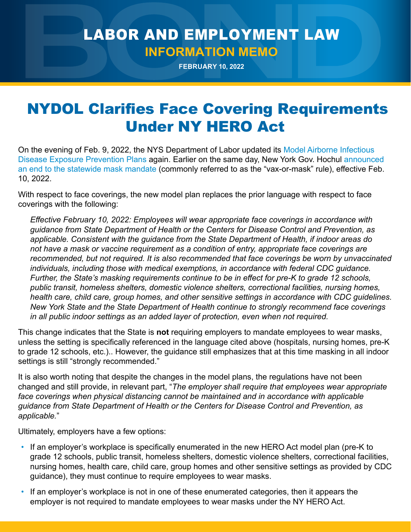## LABOR AND EMPLOYMENT LAW **INFORMATION MEMO**

**FEBRUARY 10, 2022**

## NYDOL Clarifies Face Covering Requirements Under NY HERO Act

On the evening of Feb. 9, 2022, the NYS Department of Labor updated its [Model Airborne Infectious](https://dol.ny.gov/system/files/documents/2022/02/mock-p765_ny-hero-act_model-airborne-exposure-prevention-plan_02-10-22_0.pdf)  [Disease Exposure Prevention Plans](https://dol.ny.gov/system/files/documents/2022/02/mock-p765_ny-hero-act_model-airborne-exposure-prevention-plan_02-10-22_0.pdf) again. Earlier on the same day, New York Gov. Hochul [announced](https://www.governor.ny.gov/news/governor-hochul-announces-winter-toolkit-new-phase-covid-response-keep-new-york-safe-open-and)  [an end to the statewide mask mandate](https://www.governor.ny.gov/news/governor-hochul-announces-winter-toolkit-new-phase-covid-response-keep-new-york-safe-open-and) (commonly referred to as the "vax-or-mask" rule), effective Feb. 10, 2022.

With respect to face coverings, the new model plan replaces the prior language with respect to face coverings with the following:

*Effective February 10, 2022: Employees will wear appropriate face coverings in accordance with guidance from State Department of Health or the Centers for Disease Control and Prevention, as applicable. Consistent with the guidance from the State Department of Health, if indoor areas do not have a mask or vaccine requirement as a condition of entry, appropriate face coverings are recommended, but not required. It is also recommended that face coverings be worn by unvaccinated individuals, including those with medical exemptions, in accordance with federal CDC guidance. Further, the State's masking requirements continue to be in effect for pre-K to grade 12 schools, public transit, homeless shelters, domestic violence shelters, correctional facilities, nursing homes, health care, child care, group homes, and other sensitive settings in accordance with CDC guidelines. New York State and the State Department of Health continue to strongly recommend face coverings in all public indoor settings as an added layer of protection, even when not required.*

This change indicates that the State is **not** requiring employers to mandate employees to wear masks, unless the setting is specifically referenced in the language cited above (hospitals, nursing homes, pre-K to grade 12 schools, etc.).. However, the guidance still emphasizes that at this time masking in all indoor settings is still "strongly recommended."

It is also worth noting that despite the changes in the model plans, the regulations have not been changed and still provide, in relevant part, "*The employer shall require that employees wear appropriate face coverings when physical distancing cannot be maintained and in accordance with applicable guidance from State Department of Health or the Centers for Disease Control and Prevention, as applicable.*"

Ultimately, employers have a few options:

- If an employer's workplace is specifically enumerated in the new HERO Act model plan (pre-K to grade 12 schools, public transit, homeless shelters, domestic violence shelters, correctional facilities, nursing homes, health care, child care, group homes and other sensitive settings as provided by CDC guidance), they must continue to require employees to wear masks.
- If an employer's workplace is not in one of these enumerated categories, then it appears the employer is not required to mandate employees to wear masks under the NY HERO Act.